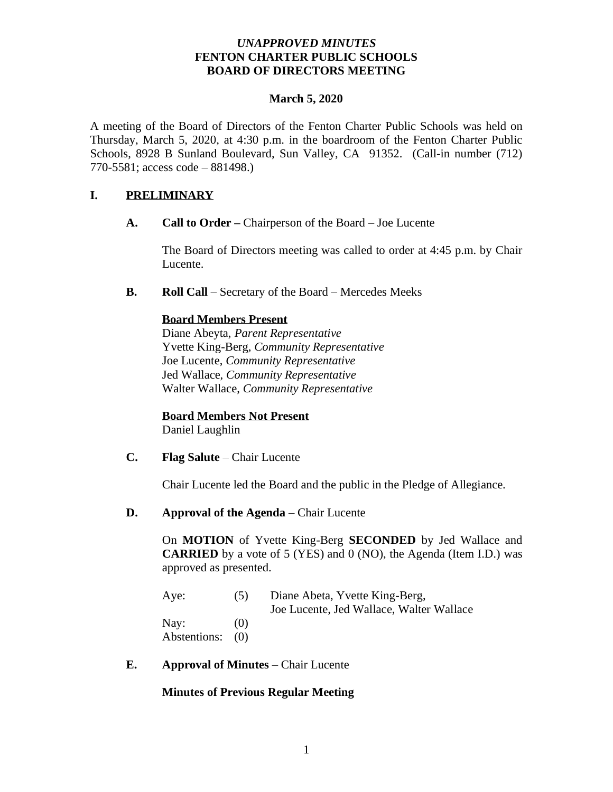### *UNAPPROVED MINUTES* **FENTON CHARTER PUBLIC SCHOOLS BOARD OF DIRECTORS MEETING**

### **March 5, 2020**

A meeting of the Board of Directors of the Fenton Charter Public Schools was held on Thursday, March 5, 2020, at 4:30 p.m. in the boardroom of the Fenton Charter Public Schools, 8928 B Sunland Boulevard, Sun Valley, CA 91352. (Call-in number (712) 770-5581; access code – 881498.)

### **I. PRELIMINARY**

**A. Call to Order –** Chairperson of the Board – Joe Lucente

The Board of Directors meeting was called to order at 4:45 p.m. by Chair Lucente.

**B. Roll Call** – Secretary of the Board – Mercedes Meeks

### **Board Members Present**

Diane Abeyta, *Parent Representative* Yvette King-Berg, *Community Representative* Joe Lucente, *Community Representative* Jed Wallace, *Community Representative* Walter Wallace, *Community Representative* 

### **Board Members Not Present**

Daniel Laughlin

**C. Flag Salute** – Chair Lucente

Chair Lucente led the Board and the public in the Pledge of Allegiance.

### **D. Approval of the Agenda** – Chair Lucente

On **MOTION** of Yvette King-Berg **SECONDED** by Jed Wallace and **CARRIED** by a vote of 5 (YES) and 0 (NO), the Agenda (Item I.D.) was approved as presented.

| Aye:             | (5) | Diane Abeta, Yvette King-Berg,           |
|------------------|-----|------------------------------------------|
|                  |     | Joe Lucente, Jed Wallace, Walter Wallace |
| Nay:             | (0) |                                          |
| Abstentions: (0) |     |                                          |

**E. Approval of Minutes** – Chair Lucente

### **Minutes of Previous Regular Meeting**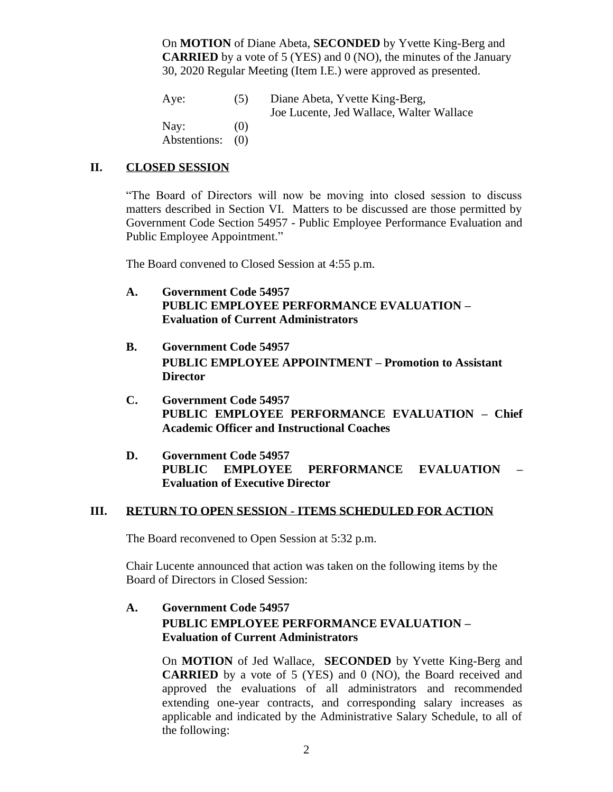On **MOTION** of Diane Abeta, **SECONDED** by Yvette King-Berg and **CARRIED** by a vote of 5 (YES) and 0 (NO), the minutes of the January 30, 2020 Regular Meeting (Item I.E.) were approved as presented.

Aye: (5) Diane Abeta, Yvette King-Berg, Joe Lucente, Jed Wallace, Walter Wallace Nay:  $(0)$ Abstentions: (0)

### **II. CLOSED SESSION**

"The Board of Directors will now be moving into closed session to discuss matters described in Section VI. Matters to be discussed are those permitted by Government Code Section 54957 - Public Employee Performance Evaluation and Public Employee Appointment."

The Board convened to Closed Session at 4:55 p.m.

- **A. Government Code 54957 PUBLIC EMPLOYEE PERFORMANCE EVALUATION – Evaluation of Current Administrators**
- **B. Government Code 54957 PUBLIC EMPLOYEE APPOINTMENT – Promotion to Assistant Director**
- **C. Government Code 54957 PUBLIC EMPLOYEE PERFORMANCE EVALUATION – Chief Academic Officer and Instructional Coaches**
- **D. Government Code 54957 PUBLIC EMPLOYEE PERFORMANCE EVALUATION – Evaluation of Executive Director**

### **III. RETURN TO OPEN SESSION - ITEMS SCHEDULED FOR ACTION**

The Board reconvened to Open Session at 5:32 p.m.

Chair Lucente announced that action was taken on the following items by the Board of Directors in Closed Session:

# **A. Government Code 54957 PUBLIC EMPLOYEE PERFORMANCE EVALUATION – Evaluation of Current Administrators**

On **MOTION** of Jed Wallace, **SECONDED** by Yvette King-Berg and **CARRIED** by a vote of 5 (YES) and 0 (NO), the Board received and approved the evaluations of all administrators and recommended extending one-year contracts, and corresponding salary increases as applicable and indicated by the Administrative Salary Schedule, to all of the following: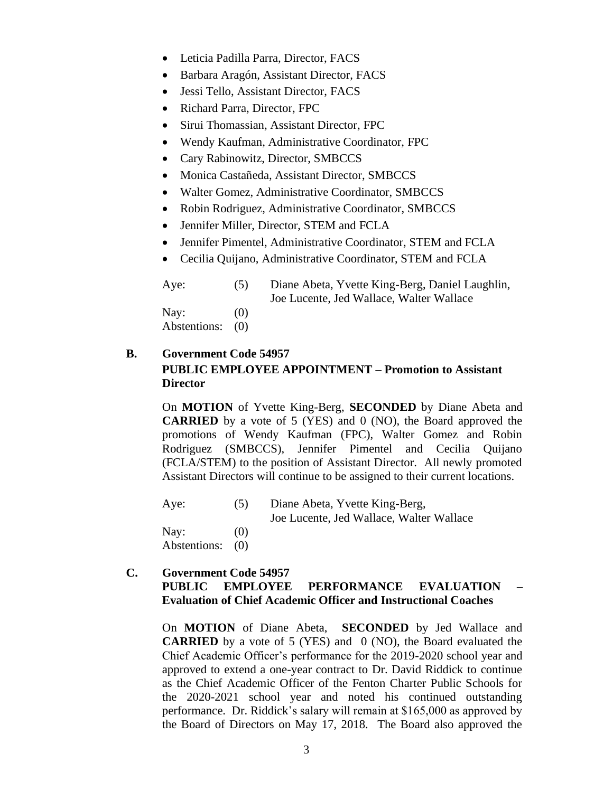- Leticia Padilla Parra, Director, FACS
- Barbara Aragón, Assistant Director, FACS
- Jessi Tello, Assistant Director, FACS
- Richard Parra, Director, FPC
- Sirui Thomassian, Assistant Director, FPC
- Wendy Kaufman, Administrative Coordinator, FPC
- Cary Rabinowitz, Director, SMBCCS
- Monica Castañeda, Assistant Director, SMBCCS
- Walter Gomez, Administrative Coordinator, SMBCCS
- Robin Rodriguez, Administrative Coordinator, SMBCCS
- Jennifer Miller, Director, STEM and FCLA
- Jennifer Pimentel, Administrative Coordinator, STEM and FCLA
- Cecilia Quijano, Administrative Coordinator, STEM and FCLA

Aye: (5) Diane Abeta, Yvette King-Berg, Daniel Laughlin, Joe Lucente, Jed Wallace, Walter Wallace Nay:  $(0)$ Abstentions: (0)

# **B. Government Code 54957 PUBLIC EMPLOYEE APPOINTMENT – Promotion to Assistant Director**

On **MOTION** of Yvette King-Berg, **SECONDED** by Diane Abeta and **CARRIED** by a vote of 5 (YES) and 0 (NO), the Board approved the promotions of Wendy Kaufman (FPC), Walter Gomez and Robin Rodriguez (SMBCCS), Jennifer Pimentel and Cecilia Quijano (FCLA/STEM) to the position of Assistant Director. All newly promoted Assistant Directors will continue to be assigned to their current locations.

| Aye:                 | (5)        | Diane Abeta, Yvette King-Berg,<br>Joe Lucente, Jed Wallace, Walter Wallace |
|----------------------|------------|----------------------------------------------------------------------------|
| Nay:<br>Abstentions: | (0)<br>(0) |                                                                            |

# **C. Government Code 54957 PUBLIC EMPLOYEE PERFORMANCE EVALUATION – Evaluation of Chief Academic Officer and Instructional Coaches**

On **MOTION** of Diane Abeta, **SECONDED** by Jed Wallace and **CARRIED** by a vote of 5 (YES) and 0 (NO), the Board evaluated the Chief Academic Officer's performance for the 2019-2020 school year and approved to extend a one-year contract to Dr. David Riddick to continue as the Chief Academic Officer of the Fenton Charter Public Schools for the 2020-2021 school year and noted his continued outstanding performance. Dr. Riddick's salary will remain at \$165,000 as approved by the Board of Directors on May 17, 2018. The Board also approved the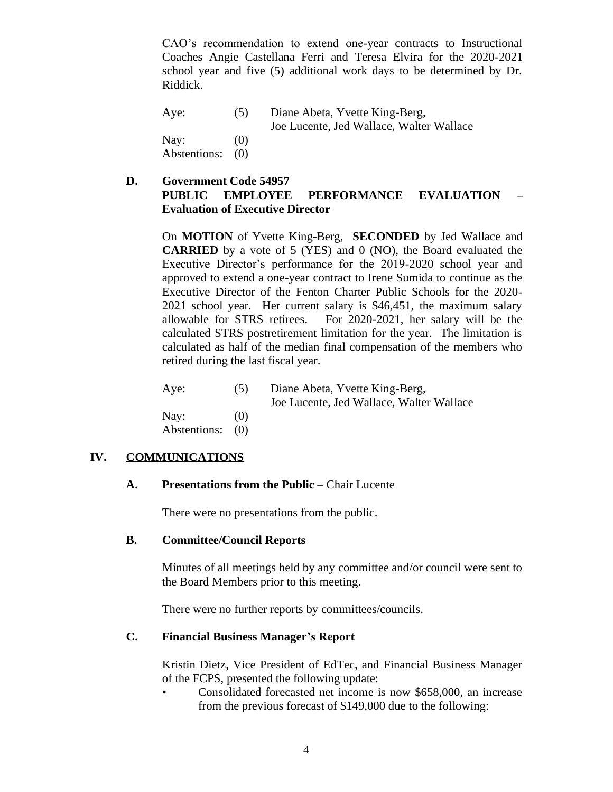CAO's recommendation to extend one-year contracts to Instructional Coaches Angie Castellana Ferri and Teresa Elvira for the 2020-2021 school year and five (5) additional work days to be determined by Dr. Riddick.

Aye: (5) Diane Abeta, Yvette King-Berg, Joe Lucente, Jed Wallace, Walter Wallace Nay:  $(0)$ Abstentions: (0)

**D. Government Code 54957 PUBLIC EMPLOYEE PERFORMANCE EVALUATION – Evaluation of Executive Director**

On **MOTION** of Yvette King-Berg, **SECONDED** by Jed Wallace and **CARRIED** by a vote of 5 (YES) and 0 (NO), the Board evaluated the Executive Director's performance for the 2019-2020 school year and approved to extend a one-year contract to Irene Sumida to continue as the Executive Director of the Fenton Charter Public Schools for the 2020- 2021 school year. Her current salary is \$46,451, the maximum salary allowable for STRS retirees. For 2020-2021, her salary will be the calculated STRS postretirement limitation for the year. The limitation is calculated as half of the median final compensation of the members who retired during the last fiscal year.

| Aye: | (5) | Diane Abeta, Yvette King-Berg,           |
|------|-----|------------------------------------------|
|      |     | Joe Lucente, Jed Wallace, Walter Wallace |
| Nay: | (0) |                                          |

Abstentions: (0)

#### **IV. COMMUNICATIONS**

#### **A. Presentations from the Public** – Chair Lucente

There were no presentations from the public.

#### **B. Committee/Council Reports**

Minutes of all meetings held by any committee and/or council were sent to the Board Members prior to this meeting.

There were no further reports by committees/councils.

### **C. Financial Business Manager's Report**

Kristin Dietz, Vice President of EdTec, and Financial Business Manager of the FCPS, presented the following update:

• Consolidated forecasted net income is now \$658,000, an increase from the previous forecast of \$149,000 due to the following: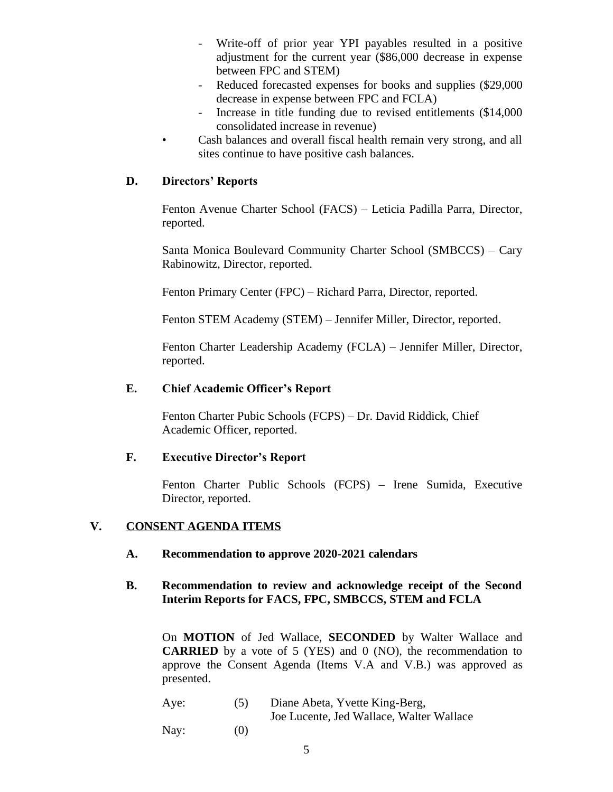- Write-off of prior year YPI payables resulted in a positive adjustment for the current year (\$86,000 decrease in expense between FPC and STEM)
- Reduced forecasted expenses for books and supplies (\$29,000) decrease in expense between FPC and FCLA)
- Increase in title funding due to revised entitlements (\$14,000 consolidated increase in revenue)
- Cash balances and overall fiscal health remain very strong, and all sites continue to have positive cash balances.

# **D. Directors' Reports**

Fenton Avenue Charter School (FACS) – Leticia Padilla Parra, Director, reported.

Santa Monica Boulevard Community Charter School (SMBCCS) – Cary Rabinowitz, Director, reported.

Fenton Primary Center (FPC) – Richard Parra, Director, reported.

Fenton STEM Academy (STEM) – Jennifer Miller, Director, reported.

Fenton Charter Leadership Academy (FCLA) – Jennifer Miller, Director, reported.

# **E. Chief Academic Officer's Report**

Fenton Charter Pubic Schools (FCPS) – Dr. David Riddick, Chief Academic Officer, reported.

# **F. Executive Director's Report**

Fenton Charter Public Schools (FCPS) – Irene Sumida, Executive Director, reported.

# **V. CONSENT AGENDA ITEMS**

# **A. Recommendation to approve 2020-2021 calendars**

# **B. Recommendation to review and acknowledge receipt of the Second Interim Reports for FACS, FPC, SMBCCS, STEM and FCLA**

On **MOTION** of Jed Wallace, **SECONDED** by Walter Wallace and **CARRIED** by a vote of 5 (YES) and 0 (NO), the recommendation to approve the Consent Agenda (Items V.A and V.B.) was approved as presented.

| Aye: | (5) | Diane Abeta, Yvette King-Berg,           |
|------|-----|------------------------------------------|
|      |     | Joe Lucente, Jed Wallace, Walter Wallace |
| Nay: | (0) |                                          |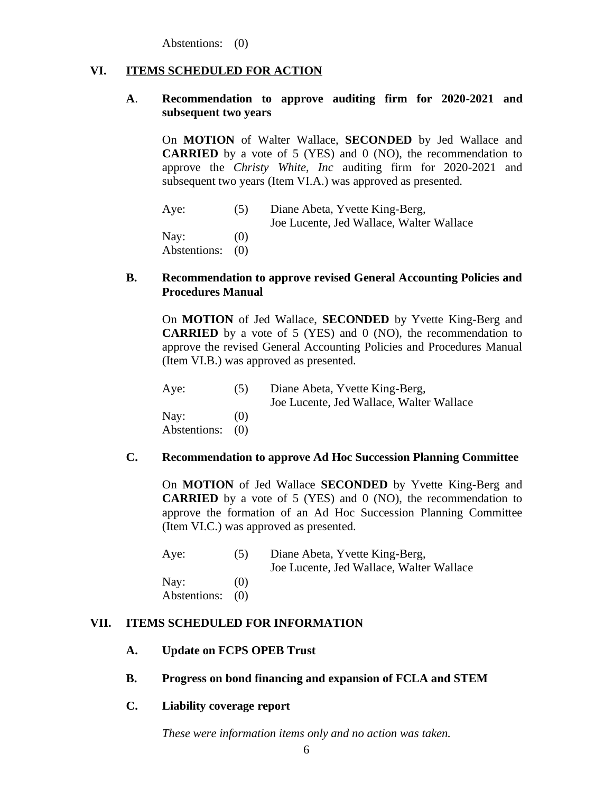Abstentions: (0)

#### **VI. ITEMS SCHEDULED FOR ACTION**

### **A**. **Recommendation to approve auditing firm for 2020-2021 and subsequent two years**

On **MOTION** of Walter Wallace, **SECONDED** by Jed Wallace and **CARRIED** by a vote of 5 (YES) and 0 (NO), the recommendation to approve the *Christy White, Inc* auditing firm for 2020-2021 and subsequent two years (Item VI.A.) was approved as presented.

Aye: (5) Diane Abeta, Yvette King-Berg, Joe Lucente, Jed Wallace, Walter Wallace Nay:  $(0)$ Abstentions: (0)

#### **B. Recommendation to approve revised General Accounting Policies and Procedures Manual**

On **MOTION** of Jed Wallace, **SECONDED** by Yvette King-Berg and **CARRIED** by a vote of 5 (YES) and 0 (NO), the recommendation to approve the revised General Accounting Policies and Procedures Manual (Item VI.B.) was approved as presented.

Aye: (5) Diane Abeta, Yvette King-Berg, Joe Lucente, Jed Wallace, Walter Wallace Nay:  $(0)$ Abstentions: (0)

#### **C. Recommendation to approve Ad Hoc Succession Planning Committee**

On **MOTION** of Jed Wallace **SECONDED** by Yvette King-Berg and **CARRIED** by a vote of 5 (YES) and 0 (NO), the recommendation to approve the formation of an Ad Hoc Succession Planning Committee (Item VI.C.) was approved as presented.

| Aye:             | (5) | Diane Abeta, Yvette King-Berg,<br>Joe Lucente, Jed Wallace, Walter Wallace |
|------------------|-----|----------------------------------------------------------------------------|
| Nay:             | (0) |                                                                            |
| Abstentions: (0) |     |                                                                            |

#### **VII. ITEMS SCHEDULED FOR INFORMATION**

### **A. Update on FCPS OPEB Trust**

**B. Progress on bond financing and expansion of FCLA and STEM**

#### **C. Liability coverage report**

*These were information items only and no action was taken.*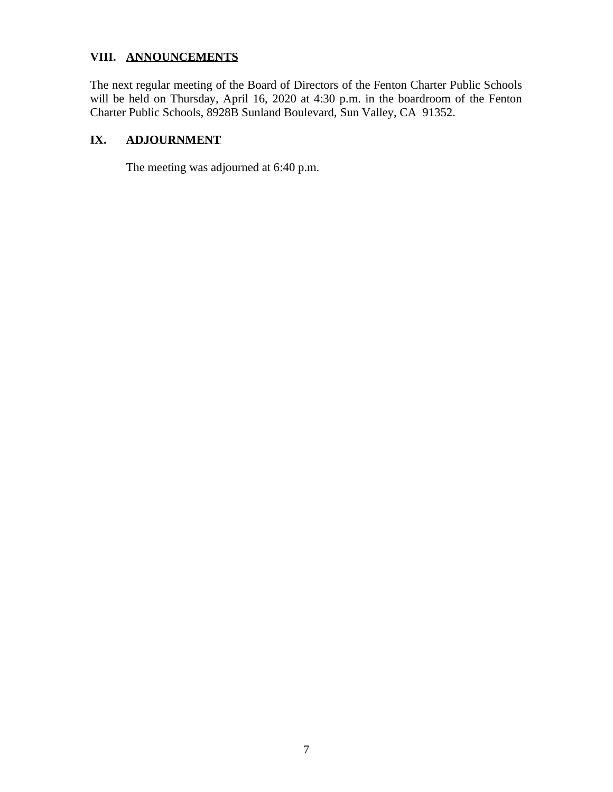# **VIII. ANNOUNCEMENTS**

The next regular meeting of the Board of Directors of the Fenton Charter Public Schools will be held on Thursday, April 16, 2020 at 4:30 p.m. in the boardroom of the Fenton Charter Public Schools, 8928B Sunland Boulevard, Sun Valley, CA 91352.

# **IX. ADJOURNMENT**

The meeting was adjourned at 6:40 p.m.